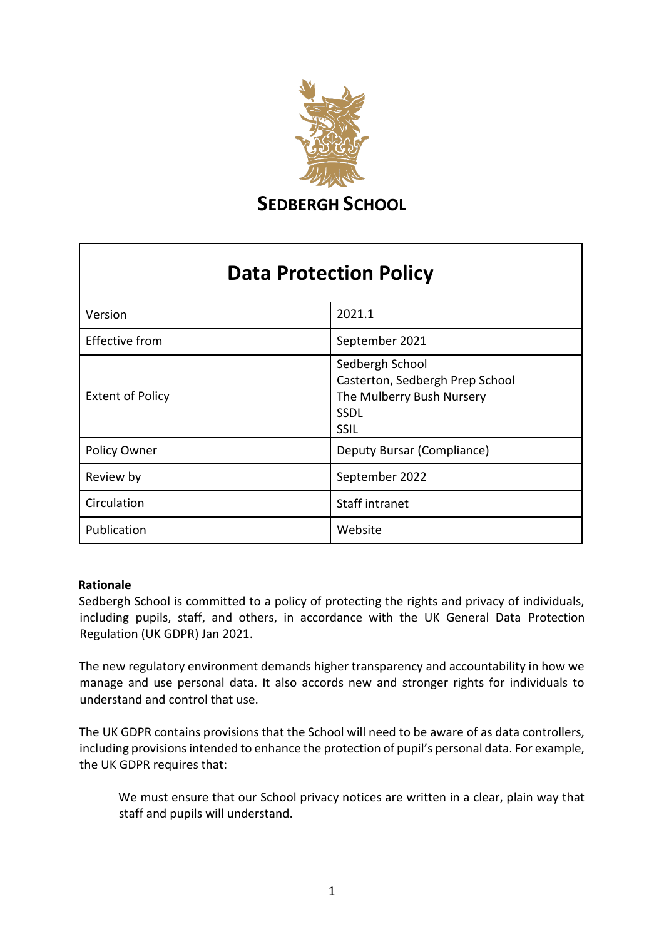

**SEDBERGH SCHOOL** 

# **Data Protection Policy**

| Version                 | 2021.1                                                                                                 |
|-------------------------|--------------------------------------------------------------------------------------------------------|
| <b>Effective from</b>   | September 2021                                                                                         |
| <b>Extent of Policy</b> | Sedbergh School<br>Casterton, Sedbergh Prep School<br>The Mulberry Bush Nursery<br><b>SSDL</b><br>SSIL |
| Policy Owner            | Deputy Bursar (Compliance)                                                                             |
| Review by               | September 2022                                                                                         |
| Circulation             | Staff intranet                                                                                         |
| Publication             | Website                                                                                                |

#### **Rationale**

Sedbergh School is committed to a policy of protecting the rights and privacy of individuals, including pupils, staff, and others, in accordance with the UK General Data Protection Regulation (UK GDPR) Jan 2021.

The new regulatory environment demands higher transparency and accountability in how we manage and use personal data. It also accords new and stronger rights for individuals to understand and control that use.

The UK GDPR contains provisions that the School will need to be aware of as data controllers, including provisions intended to enhance the protection of pupil's personal data. For example, the UK GDPR requires that:

We must ensure that our School privacy notices are written in a clear, plain way that staff and pupils will understand.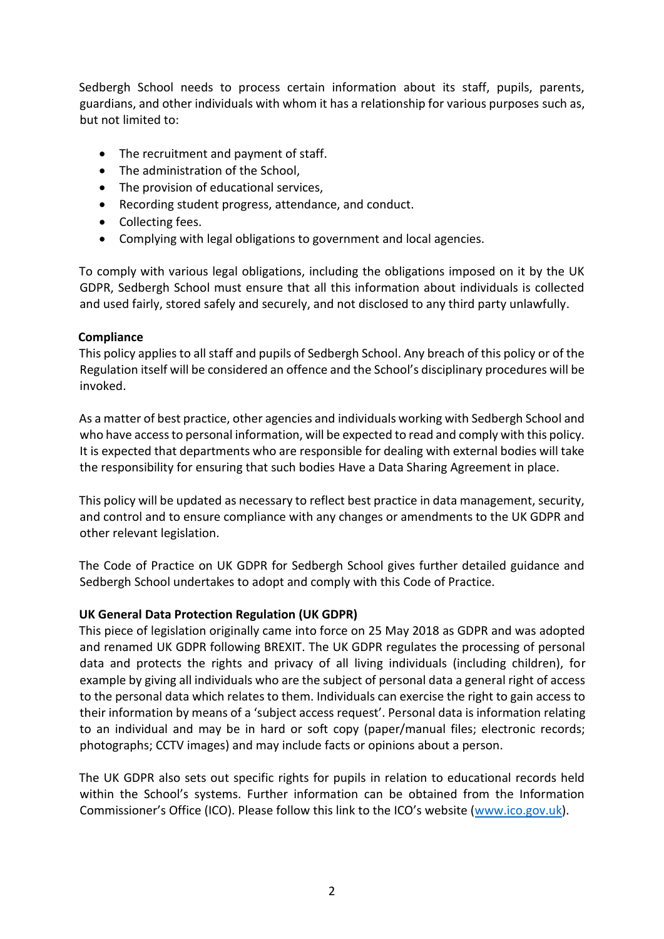Sedbergh School needs to process certain information about its staff, pupils, parents, guardians, and other individuals with whom it has a relationship for various purposes such as, but not limited to:

- The recruitment and payment of staff.
- The administration of the School,
- The provision of educational services,
- Recording student progress, attendance, and conduct.
- Collecting fees.
- Complying with legal obligations to government and local agencies.

To comply with various legal obligations, including the obligations imposed on it by the UK GDPR, Sedbergh School must ensure that all this information about individuals is collected and used fairly, stored safely and securely, and not disclosed to any third party unlawfully.

## **Compliance**

This policy applies to all staff and pupils of Sedbergh School. Any breach of this policy or of the Regulation itself will be considered an offence and the School's disciplinary procedures will be invoked.

As a matter of best practice, other agencies and individuals working with Sedbergh School and who have access to personal information, will be expected to read and comply with this policy. It is expected that departments who are responsible for dealing with external bodies will take the responsibility for ensuring that such bodies Have a Data Sharing Agreement in place.

This policy will be updated as necessary to reflect best practice in data management, security, and control and to ensure compliance with any changes or amendments to the UK GDPR and other relevant legislation.

The Code of Practice on UK GDPR for Sedbergh School gives further detailed guidance and Sedbergh School undertakes to adopt and comply with this Code of Practice.

# **UK General Data Protection Regulation (UK GDPR)**

This piece of legislation originally came into force on 25 May 2018 as GDPR and was adopted and renamed UK GDPR following BREXIT. The UK GDPR regulates the processing of personal data and protects the rights and privacy of all living individuals (including children), for example by giving all individuals who are the subject of personal data a general right of access to the personal data which relates to them. Individuals can exercise the right to gain access to their information by means of a 'subject access request'. Personal data is information relating to an individual and may be in hard or soft copy (paper/manual files; electronic records; photographs; CCTV images) and may include facts or opinions about a person.

The UK GDPR also sets out specific rights for pupils in relation to educational records held within the School's systems. Further information can be obtained from the Information Commissioner's Office (ICO). Please follow this link to the ICO's website ([www.ico.gov.uk\).](http://www.ico.gov.uk/)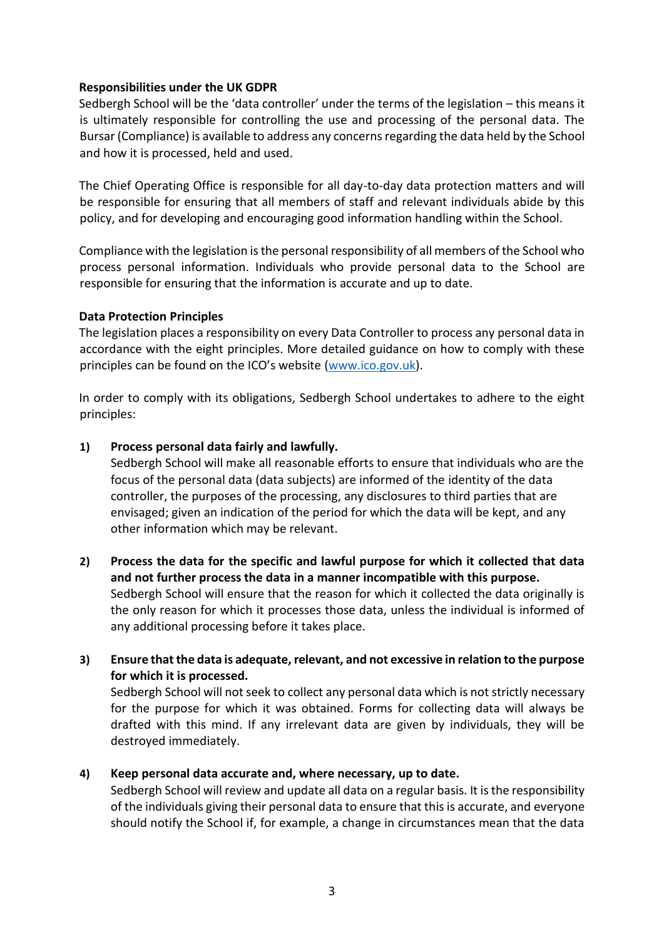## **Responsibilities under the UK GDPR**

Sedbergh School will be the 'data controller' under the terms of the legislation – this means it is ultimately responsible for controlling the use and processing of the personal data. The Bursar (Compliance) is available to address any concerns regarding the data held by the School and how it is processed, held and used.

The Chief Operating Office is responsible for all day-to-day data protection matters and will be responsible for ensuring that all members of staff and relevant individuals abide by this policy, and for developing and encouraging good information handling within the School.

Compliance with the legislation is the personal responsibility of all members of the School who process personal information. Individuals who provide personal data to the School are responsible for ensuring that the information is accurate and up to date.

## **Data Protection Principles**

The legislation places a responsibility on every Data Controller to process any personal data in accordance with the eight principles. More detailed guidance on how to comply with these principles can be found on the ICO's website ([www.ico.gov.uk\).](http://www.ico.gov.uk/)

In order to comply with its obligations, Sedbergh School undertakes to adhere to the eight principles:

## **1) Process personal data fairly and lawfully.**

 Sedbergh School will make all reasonable efforts to ensure that individuals who are the focus of the personal data (data subjects) are informed of the identity of the data controller, the purposes of the processing, any disclosures to third parties that are envisaged; given an indication of the period for which the data will be kept, and any other information which may be relevant.

**2) Process the data for the specific and lawful purpose for which it collected that data and not further process the data in a manner incompatible with this purpose.**  Sedbergh School will ensure that the reason for which it collected the data originally is the only reason for which it processes those data, unless the individual is informed of any additional processing before it takes place.

# **3) Ensure that the data is adequate, relevant, and not excessive in relation to the purpose for which it is processed.**

 Sedbergh School will not seek to collect any personal data which is not strictly necessary for the purpose for which it was obtained. Forms for collecting data will always be drafted with this mind. If any irrelevant data are given by individuals, they will be destroyed immediately.

# **4) Keep personal data accurate and, where necessary, up to date.**

 Sedbergh School will review and update all data on a regular basis. It is the responsibility of the individuals giving their personal data to ensure that this is accurate, and everyone should notify the School if, for example, a change in circumstances mean that the data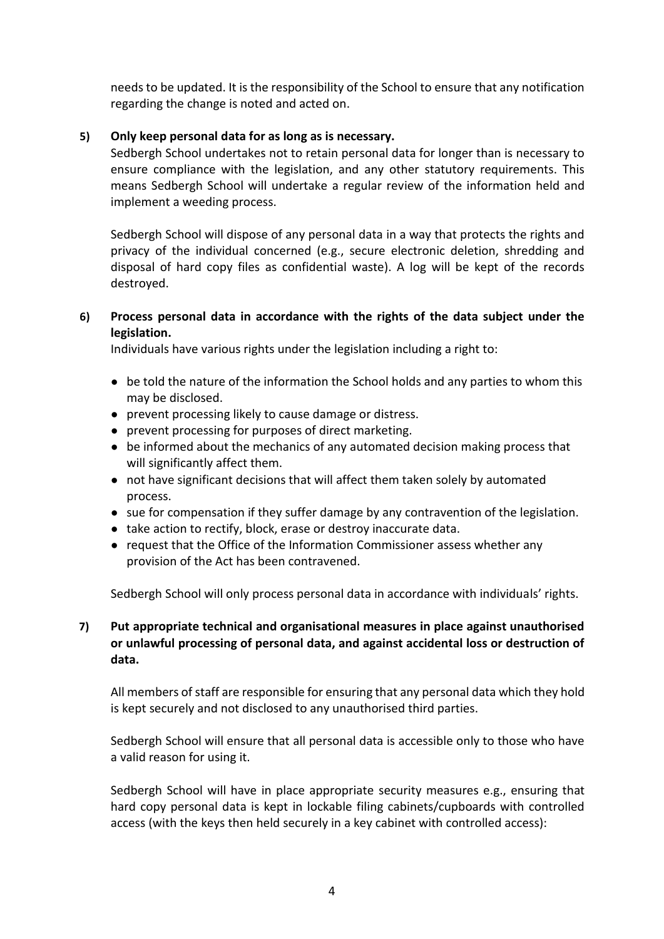needs to be updated. It is the responsibility of the School to ensure that any notification regarding the change is noted and acted on.

## **5) Only keep personal data for as long as is necessary.**

 Sedbergh School undertakes not to retain personal data for longer than is necessary to ensure compliance with the legislation, and any other statutory requirements. This means Sedbergh School will undertake a regular review of the information held and implement a weeding process.

 Sedbergh School will dispose of any personal data in a way that protects the rights and privacy of the individual concerned (e.g., secure electronic deletion, shredding and disposal of hard copy files as confidential waste). A log will be kept of the records destroyed.

# **6) Process personal data in accordance with the rights of the data subject under the legislation.**

Individuals have various rights under the legislation including a right to:

- be told the nature of the information the School holds and any parties to whom this may be disclosed.
- prevent processing likely to cause damage or distress.
- prevent processing for purposes of direct marketing.
- be informed about the mechanics of any automated decision making process that will significantly affect them.
- not have significant decisions that will affect them taken solely by automated process.
- sue for compensation if they suffer damage by any contravention of the legislation.
- take action to rectify, block, erase or destroy inaccurate data.
- request that the Office of the Information Commissioner assess whether any provision of the Act has been contravened.

Sedbergh School will only process personal data in accordance with individuals' rights.

# **7) Put appropriate technical and organisational measures in place against unauthorised or unlawful processing of personal data, and against accidental loss or destruction of data.**

All members of staff are responsible for ensuring that any personal data which they hold is kept securely and not disclosed to any unauthorised third parties.

Sedbergh School will ensure that all personal data is accessible only to those who have a valid reason for using it.

Sedbergh School will have in place appropriate security measures e.g., ensuring that hard copy personal data is kept in lockable filing cabinets/cupboards with controlled access (with the keys then held securely in a key cabinet with controlled access):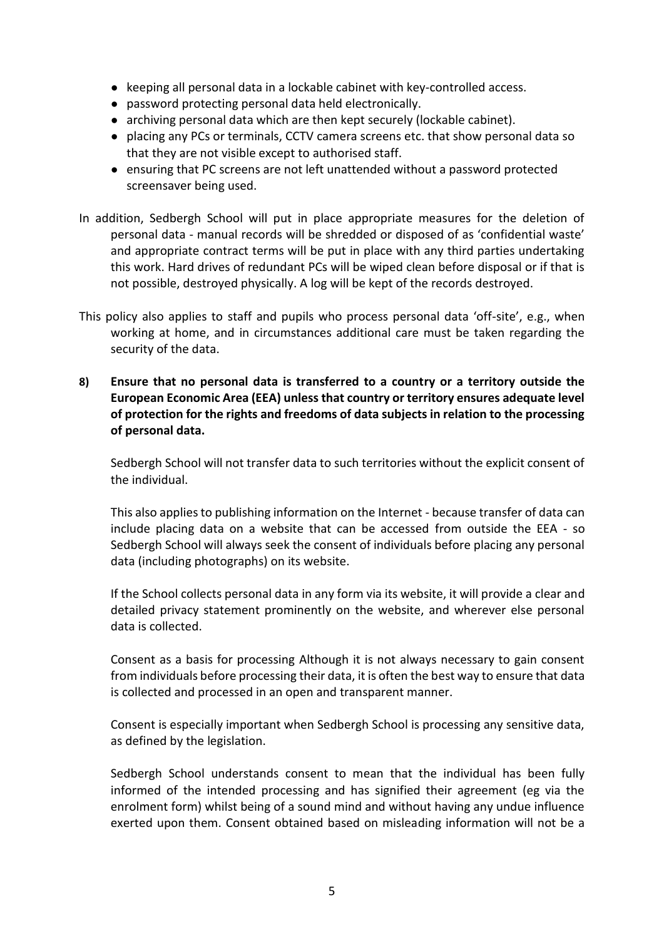- keeping all personal data in a lockable cabinet with key-controlled access.
- password protecting personal data held electronically.
- archiving personal data which are then kept securely (lockable cabinet).
- placing any PCs or terminals, CCTV camera screens etc. that show personal data so that they are not visible except to authorised staff.
- ensuring that PC screens are not left unattended without a password protected screensaver being used.
- In addition, Sedbergh School will put in place appropriate measures for the deletion of personal data - manual records will be shredded or disposed of as 'confidential waste' and appropriate contract terms will be put in place with any third parties undertaking this work. Hard drives of redundant PCs will be wiped clean before disposal or if that is not possible, destroyed physically. A log will be kept of the records destroyed.
- This policy also applies to staff and pupils who process personal data 'off-site', e.g., when working at home, and in circumstances additional care must be taken regarding the security of the data.
- **8) Ensure that no personal data is transferred to a country or a territory outside the European Economic Area (EEA) unless that country or territory ensures adequate level of protection for the rights and freedoms of data subjects in relation to the processing of personal data.**

Sedbergh School will not transfer data to such territories without the explicit consent of the individual.

This also applies to publishing information on the Internet - because transfer of data can include placing data on a website that can be accessed from outside the EEA - so Sedbergh School will always seek the consent of individuals before placing any personal data (including photographs) on its website.

If the School collects personal data in any form via its website, it will provide a clear and detailed privacy statement prominently on the website, and wherever else personal data is collected.

Consent as a basis for processing Although it is not always necessary to gain consent from individuals before processing their data, it is often the best way to ensure that data is collected and processed in an open and transparent manner.

Consent is especially important when Sedbergh School is processing any sensitive data, as defined by the legislation.

Sedbergh School understands consent to mean that the individual has been fully informed of the intended processing and has signified their agreement (eg via the enrolment form) whilst being of a sound mind and without having any undue influence exerted upon them. Consent obtained based on misleading information will not be a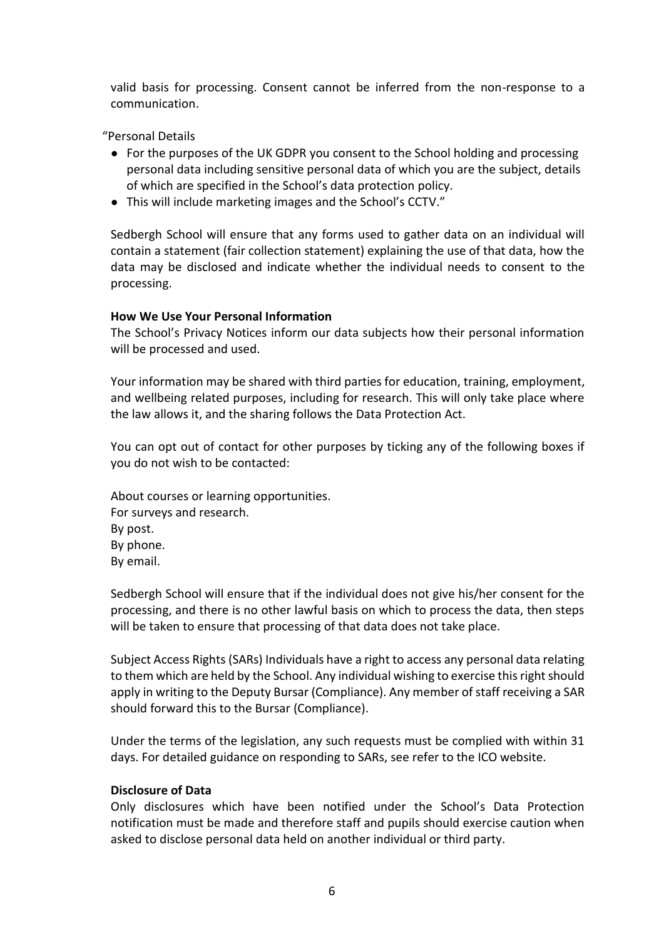valid basis for processing. Consent cannot be inferred from the non-response to a communication.

"Personal Details

- For the purposes of the UK GDPR you consent to the School holding and processing personal data including sensitive personal data of which you are the subject, details of which are specified in the School's data protection policy.
- This will include marketing images and the School's CCTV."

Sedbergh School will ensure that any forms used to gather data on an individual will contain a statement (fair collection statement) explaining the use of that data, how the data may be disclosed and indicate whether the individual needs to consent to the processing.

## **How We Use Your Personal Information**

The School's Privacy Notices inform our data subjects how their personal information will be processed and used.

Your information may be shared with third parties for education, training, employment, and wellbeing related purposes, including for research. This will only take place where the law allows it, and the sharing follows the Data Protection Act.

You can opt out of contact for other purposes by ticking any of the following boxes if you do not wish to be contacted:

About courses or learning opportunities. For surveys and research. By post. By phone. By email.

Sedbergh School will ensure that if the individual does not give his/her consent for the processing, and there is no other lawful basis on which to process the data, then steps will be taken to ensure that processing of that data does not take place.

Subject Access Rights (SARs) Individuals have a right to access any personal data relating to them which are held by the School. Any individual wishing to exercise this right should apply in writing to the Deputy Bursar (Compliance). Any member of staff receiving a SAR should forward this to the Bursar (Compliance).

Under the terms of the legislation, any such requests must be complied with within 31 days. For detailed guidance on responding to SARs, see refer to the ICO website.

#### **Disclosure of Data**

Only disclosures which have been notified under the School's Data Protection notification must be made and therefore staff and pupils should exercise caution when asked to disclose personal data held on another individual or third party.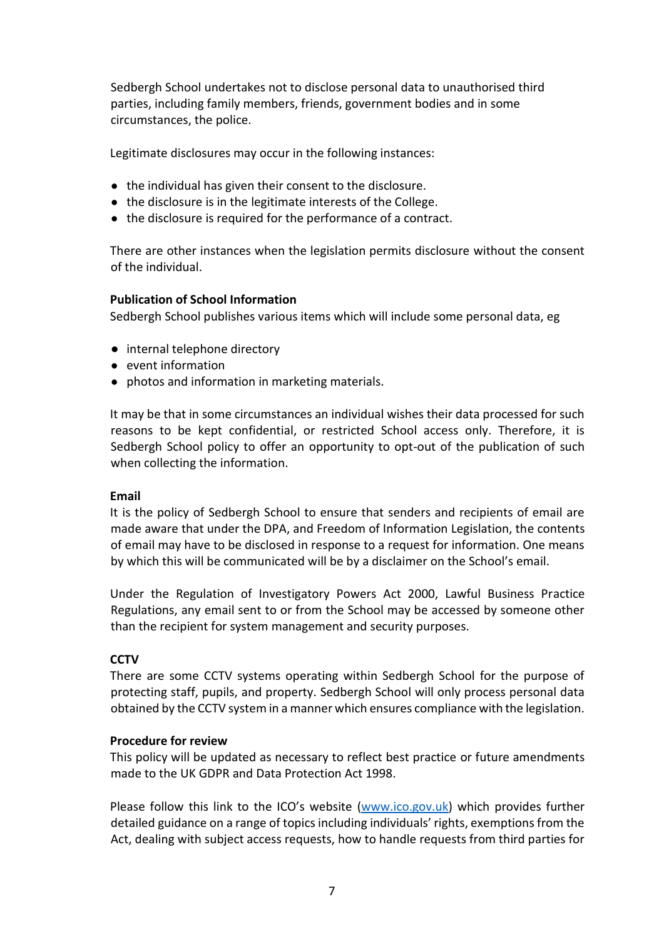Sedbergh School undertakes not to disclose personal data to unauthorised third parties, including family members, friends, government bodies and in some circumstances, the police.

Legitimate disclosures may occur in the following instances:

- the individual has given their consent to the disclosure.
- the disclosure is in the legitimate interests of the College.
- the disclosure is required for the performance of a contract.

There are other instances when the legislation permits disclosure without the consent of the individual.

#### **Publication of School Information**

Sedbergh School publishes various items which will include some personal data, eg

- internal telephone directory
- event information
- photos and information in marketing materials.

It may be that in some circumstances an individual wishes their data processed for such reasons to be kept confidential, or restricted School access only. Therefore, it is Sedbergh School policy to offer an opportunity to opt-out of the publication of such when collecting the information.

#### **Email**

It is the policy of Sedbergh School to ensure that senders and recipients of email are made aware that under the DPA, and Freedom of Information Legislation, the contents of email may have to be disclosed in response to a request for information. One means by which this will be communicated will be by a disclaimer on the School's email.

Under the Regulation of Investigatory Powers Act 2000, Lawful Business Practice Regulations, any email sent to or from the School may be accessed by someone other than the recipient for system management and security purposes.

#### **CCTV**

There are some CCTV systems operating within Sedbergh School for the purpose of protecting staff, pupils, and property. Sedbergh School will only process personal data obtained by the CCTV system in a manner which ensures compliance with the legislation.

#### **Procedure for review**

This policy will be updated as necessary to reflect best practice or future amendments made to the UK GDPR and Data Protection Act 1998.

Please follow this link to the ICO's website ([www.ico.gov.uk\)](www.ico.gov.uk) which provides further detailed guidance on a range of topics including individuals' rights, exemptions from the Act, dealing with subject access requests, how to handle requests from third parties for